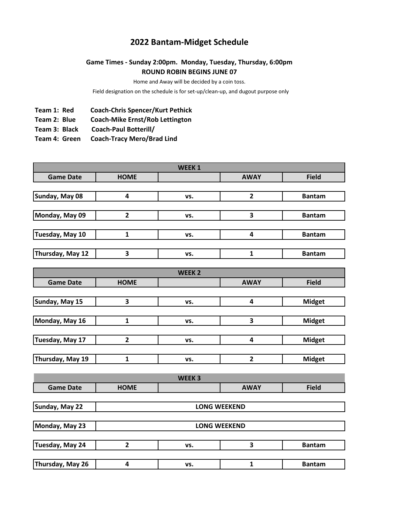## **2022 Bantam-Midget Schedule**

## **Game Times - Sunday 2:00pm. Monday, Tuesday, Thursday, 6:00pm ROUND ROBIN BEGINS JUNE 07**

Home and Away will be decided by a coin toss.

Field designation on the schedule is for set-up/clean-up, and dugout purpose only

- **Team 1: Red Coach-Chris Spencer/Kurt Pethick**
- **Team 2: Blue Coach-Mike Ernst/Rob Lettington**
- **Team 3: Black Coach-Paul Botterill/**
- **Team 4: Green Coach-Tracy Mero/Brad Lind**

| WEEK <sub>1</sub> |                         |                   |                         |               |  |  |  |
|-------------------|-------------------------|-------------------|-------------------------|---------------|--|--|--|
| <b>Game Date</b>  | <b>HOME</b>             |                   | <b>AWAY</b>             | <b>Field</b>  |  |  |  |
|                   |                         |                   |                         |               |  |  |  |
| Sunday, May 08    | 4                       | VS.               | $\overline{2}$          | <b>Bantam</b> |  |  |  |
|                   |                         |                   |                         |               |  |  |  |
| Monday, May 09    | $\overline{2}$          | VS.               | 3                       | <b>Bantam</b> |  |  |  |
|                   |                         |                   |                         |               |  |  |  |
| Tuesday, May 10   | $\mathbf{1}$            | VS.               | 4                       | <b>Bantam</b> |  |  |  |
|                   |                         |                   |                         |               |  |  |  |
| Thursday, May 12  | $\overline{\mathbf{3}}$ | VS.               | $\mathbf{1}$            | <b>Bantam</b> |  |  |  |
|                   |                         | <b>WEEK2</b>      |                         |               |  |  |  |
| <b>Game Date</b>  | <b>HOME</b>             |                   | <b>AWAY</b>             | <b>Field</b>  |  |  |  |
|                   |                         |                   |                         |               |  |  |  |
| Sunday, May 15    | 3                       | vs.               | $\overline{\mathbf{4}}$ | <b>Midget</b> |  |  |  |
|                   |                         |                   |                         |               |  |  |  |
| Monday, May 16    | $\mathbf 1$             | vs.               | 3                       | <b>Midget</b> |  |  |  |
|                   |                         |                   |                         |               |  |  |  |
| Tuesday, May 17   | $\overline{\mathbf{2}}$ | VS.               | $\overline{\mathbf{4}}$ | <b>Midget</b> |  |  |  |
|                   |                         |                   |                         |               |  |  |  |
| Thursday, May 19  | $\mathbf{1}$            | VS.               | $\overline{2}$          | <b>Midget</b> |  |  |  |
|                   |                         |                   |                         |               |  |  |  |
|                   |                         | WEEK <sub>3</sub> |                         |               |  |  |  |
| <b>Game Date</b>  | <b>HOME</b>             |                   | <b>AWAY</b>             | <b>Field</b>  |  |  |  |
| Sunday, May 22    |                         |                   | <b>LONG WEEKEND</b>     |               |  |  |  |
|                   |                         |                   |                         |               |  |  |  |
| Monday, May 23    | <b>LONG WEEKEND</b>     |                   |                         |               |  |  |  |
|                   |                         |                   |                         |               |  |  |  |
| Tuesday, May 24   | $\overline{2}$          | VS.               | 3                       | <b>Bantam</b> |  |  |  |
|                   |                         |                   |                         |               |  |  |  |
| Thursday, May 26  | 4                       | vs.               | $\mathbf{1}$            | <b>Bantam</b> |  |  |  |
|                   |                         |                   |                         |               |  |  |  |